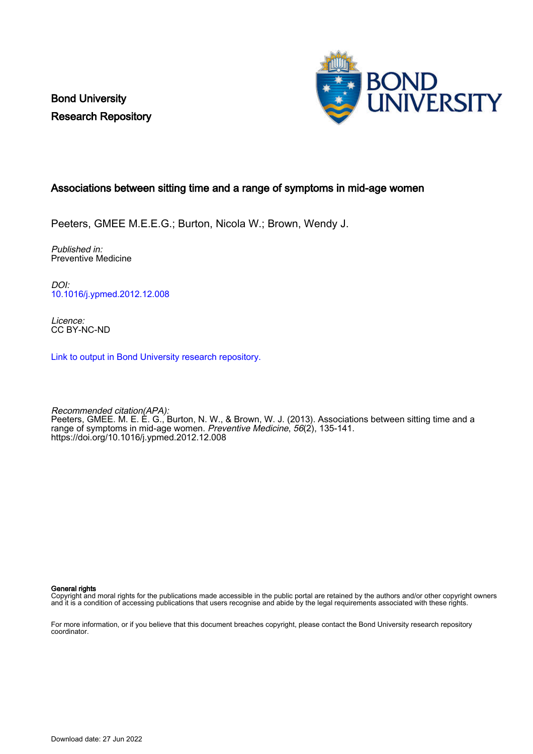Bond University Research Repository



# Associations between sitting time and a range of symptoms in mid-age women

Peeters, GMEE M.E.E.G.; Burton, Nicola W.; Brown, Wendy J.

Published in: Preventive Medicine

DOI: [10.1016/j.ypmed.2012.12.008](https://doi.org/10.1016/j.ypmed.2012.12.008)

Licence: CC BY-NC-ND

[Link to output in Bond University research repository.](https://research.bond.edu.au/en/publications/75cdbd20-5a44-4c38-ba8d-514ef308f795)

Recommended citation(APA): Peeters, GMEE. M. E. E. G., Burton, N. W., & Brown, W. J. (2013). Associations between sitting time and a range of symptoms in mid-age women. Preventive Medicine, 56(2), 135-141. <https://doi.org/10.1016/j.ypmed.2012.12.008>

General rights

Copyright and moral rights for the publications made accessible in the public portal are retained by the authors and/or other copyright owners and it is a condition of accessing publications that users recognise and abide by the legal requirements associated with these rights.

For more information, or if you believe that this document breaches copyright, please contact the Bond University research repository coordinator.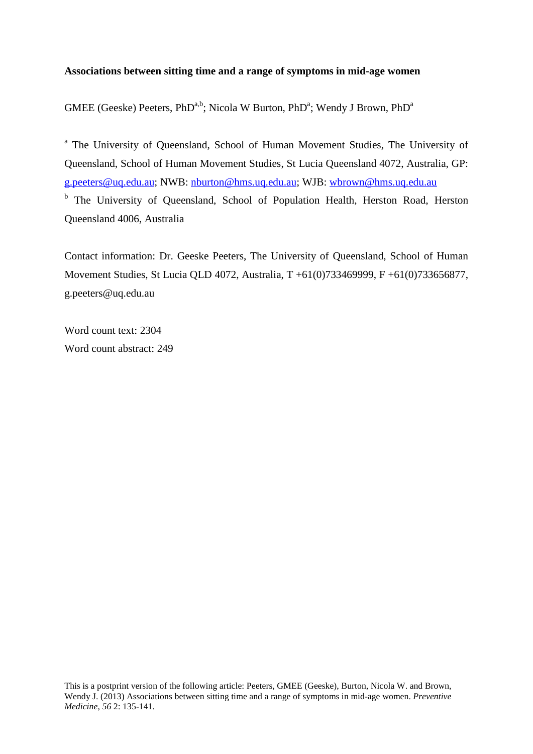# **Associations between sitting time and a range of symptoms in mid-age women**

GMEE (Geeske) Peeters, PhD<sup>a,b</sup>; Nicola W Burton, PhD<sup>a</sup>; Wendy J Brown, PhD<sup>a</sup>

<sup>a</sup> The University of Queensland, School of Human Movement Studies, The University of Queensland, School of Human Movement Studies, St Lucia Queensland 4072, Australia, GP: [g.peeters@uq.edu.au;](mailto:g.peeters@uq.edu.au) NWB: [nburton@hms.uq.edu.au;](mailto:nburton@hms.uq.edu.au) WJB: [wbrown@hms.uq.edu.au](mailto:wbrown@hms.uq.edu.au) <sup>b</sup> The University of Queensland, School of Population Health, Herston Road, Herston Queensland 4006, Australia

Contact information: Dr. Geeske Peeters, The University of Queensland, School of Human Movement Studies, St Lucia QLD 4072, Australia, T +61(0)733469999, F +61(0)733656877, g.peeters@uq.edu.au

Word count text: 2304 Word count abstract: 249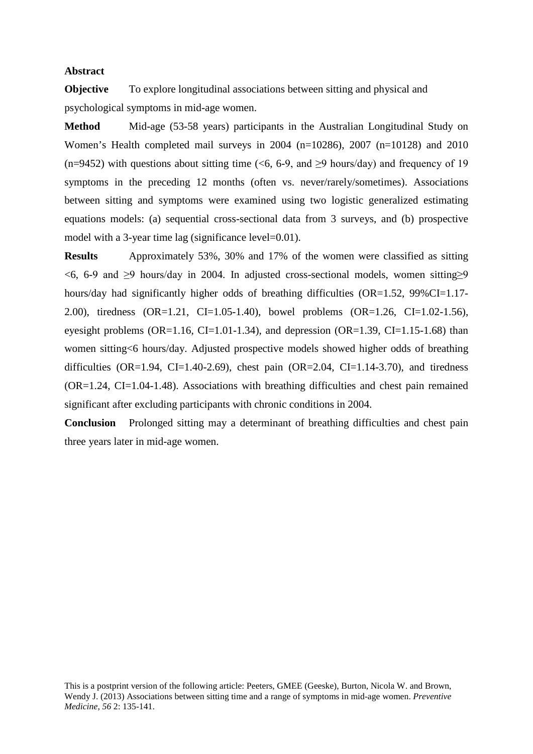### **Abstract**

**Objective** To explore longitudinal associations between sitting and physical and psychological symptoms in mid-age women.

**Method** Mid-age (53-58 years) participants in the Australian Longitudinal Study on Women's Health completed mail surveys in 2004 (n=10286), 2007 (n=10128) and 2010 (n=9452) with questions about sitting time (<6, 6-9, and  $\geq$ 9 hours/day) and frequency of 19 symptoms in the preceding 12 months (often vs. never/rarely/sometimes). Associations between sitting and symptoms were examined using two logistic generalized estimating equations models: (a) sequential cross-sectional data from 3 surveys, and (b) prospective model with a 3-year time lag (significance level=0.01).

**Results** Approximately 53%, 30% and 17% of the women were classified as sitting <6, 6-9 and ≥9 hours/day in 2004. In adjusted cross-sectional models, women sitting≥9 hours/day had significantly higher odds of breathing difficulties (OR=1.52, 99%CI=1.17-2.00), tiredness (OR=1.21, CI=1.05-1.40), bowel problems (OR=1.26, CI=1.02-1.56), eyesight problems (OR=1.16, CI=1.01-1.34), and depression (OR=1.39, CI=1.15-1.68) than women sitting<6 hours/day. Adjusted prospective models showed higher odds of breathing difficulties (OR=1.94, CI=1.40-2.69), chest pain (OR=2.04, CI=1.14-3.70), and tiredness (OR=1.24, CI=1.04-1.48). Associations with breathing difficulties and chest pain remained significant after excluding participants with chronic conditions in 2004.

**Conclusion** Prolonged sitting may a determinant of breathing difficulties and chest pain three years later in mid-age women.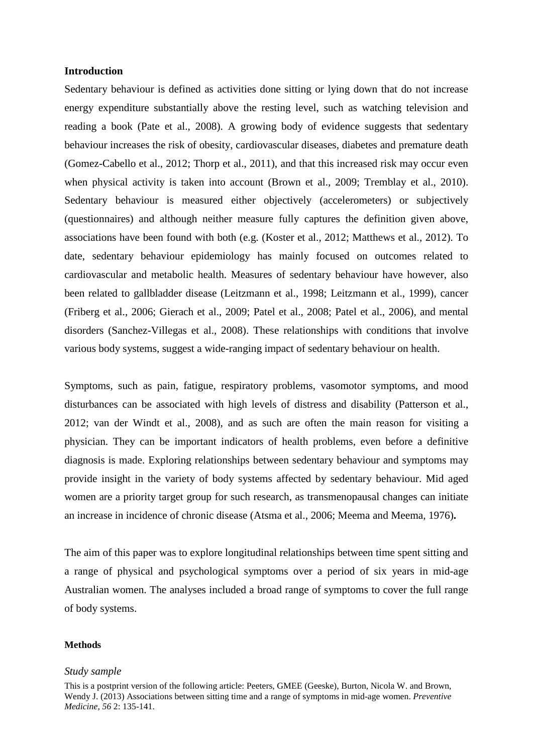### **Introduction**

Sedentary behaviour is defined as activities done sitting or lying down that do not increase energy expenditure substantially above the resting level, such as watching television and reading a book [\(Pate et al., 2008\)](#page-12-0). A growing body of evidence suggests that sedentary behaviour increases the risk of obesity, cardiovascular diseases, diabetes and premature death [\(Gomez-Cabello et al., 2012;](#page-11-0) [Thorp et al., 2011\)](#page-13-0), and that this increased risk may occur even when physical activity is taken into account [\(Brown et al., 2009;](#page-10-0) [Tremblay et al., 2010\)](#page-13-1). Sedentary behaviour is measured either objectively (accelerometers) or subjectively (questionnaires) and although neither measure fully captures the definition given above, associations have been found with both (e.g. [\(Koster et al., 2012;](#page-12-1) [Matthews et al., 2012\)](#page-12-2). To date, sedentary behaviour epidemiology has mainly focused on outcomes related to cardiovascular and metabolic health. Measures of sedentary behaviour have however, also been related to gallbladder disease [\(Leitzmann et al., 1998;](#page-12-3) [Leitzmann et al., 1999\)](#page-12-4), cancer [\(Friberg et al., 2006;](#page-11-1) [Gierach et al., 2009;](#page-11-2) [Patel et al., 2008;](#page-12-5) [Patel et al., 2006\)](#page-12-6), and mental disorders [\(Sanchez-Villegas et al., 2008\)](#page-13-2). These relationships with conditions that involve various body systems, suggest a wide-ranging impact of sedentary behaviour on health.

Symptoms, such as pain, fatigue, respiratory problems, vasomotor symptoms, and mood disturbances can be associated with high levels of distress and disability [\(Patterson et](#page-12-7) al., [2012;](#page-12-7) [van der Windt et al., 2008\)](#page-13-3), and as such are often the main reason for visiting a physician. They can be important indicators of health problems, even before a definitive diagnosis is made. Exploring relationships between sedentary behaviour and symptoms may provide insight in the variety of body systems affected by sedentary behaviour. Mid aged women are a priority target group for such research, as transmenopausal changes can initiate an increase in incidence of chronic disease [\(Atsma et al., 2006;](#page-10-1) [Meema and Meema, 1976\)](#page-12-8)**.**

The aim of this paper was to explore longitudinal relationships between time spent sitting and a range of physical and psychological symptoms over a period of six years in mid-age Australian women. The analyses included a broad range of symptoms to cover the full range of body systems.

#### **Methods**

#### *Study sample*

This is a postprint version of the following article: Peeters, GMEE (Geeske), Burton, Nicola W. and Brown, Wendy J. (2013) Associations between sitting time and a range of symptoms in mid-age women. *Preventive Medicine*, *56* 2: 135-141.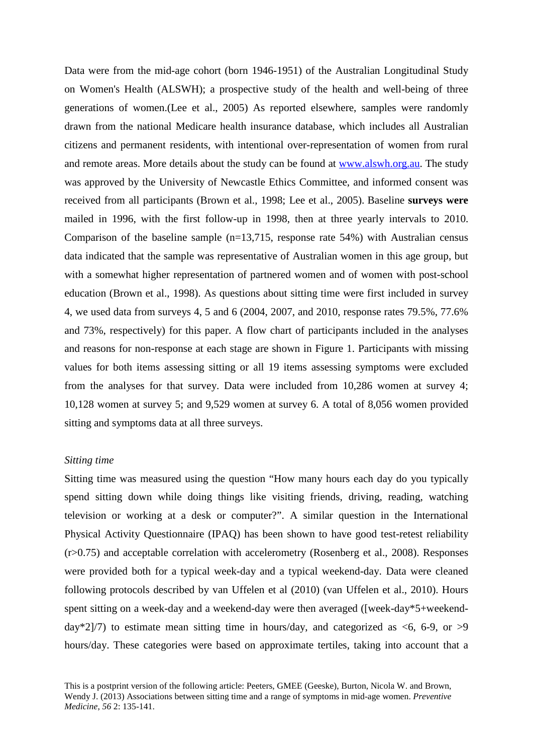Data were from the mid-age cohort (born 1946-1951) of the Australian Longitudinal Study on Women's Health (ALSWH); a prospective study of the health and well-being of three generations of women.[\(Lee et al., 2005\)](#page-12-9) As reported elsewhere, samples were randomly drawn from the national Medicare health insurance database, which includes all Australian citizens and permanent residents, with intentional over-representation of women from rural and remote areas. More details about the study can be found at [www.alswh.org.au.](http://www.alswh.org.au/) The study was approved by the University of Newcastle Ethics Committee, and informed consent was received from all participants [\(Brown et al., 1998;](#page-11-3) [Lee et al., 2005\)](#page-12-9). Baseline **surveys were**  mailed in 1996, with the first follow-up in 1998, then at three yearly intervals to 2010. Comparison of the baseline sample (n=13,715, response rate 54%) with Australian census data indicated that the sample was representative of Australian women in this age group, but with a somewhat higher representation of partnered women and of women with post-school education [\(Brown et al., 1998\)](#page-11-3). As questions about sitting time were first included in survey 4, we used data from surveys 4, 5 and 6 (2004, 2007, and 2010, response rates 79.5%, 77.6% and 73%, respectively) for this paper. A flow chart of participants included in the analyses and reasons for non-response at each stage are shown in Figure 1. Participants with missing values for both items assessing sitting or all 19 items assessing symptoms were excluded from the analyses for that survey. Data were included from 10,286 women at survey 4; 10,128 women at survey 5; and 9,529 women at survey 6. A total of 8,056 women provided sitting and symptoms data at all three surveys.

### *Sitting time*

Sitting time was measured using the question "How many hours each day do you typically spend sitting down while doing things like visiting friends, driving, reading, watching television or working at a desk or computer?". A similar question in the International Physical Activity Questionnaire (IPAQ) has been shown to have good test-retest reliability (r>0.75) and acceptable correlation with accelerometry [\(Rosenberg et al., 2008\)](#page-13-4). Responses were provided both for a typical week-day and a typical weekend-day. Data were cleaned following protocols described by van Uffelen et al (2010) [\(van Uffelen et al., 2010\)](#page-13-5). Hours spent sitting on a week-day and a weekend-day were then averaged ([week-day\*5+weekendday\*2]/7) to estimate mean sitting time in hours/day, and categorized as  $\leq 6$ , 6-9, or  $>9$ hours/day. These categories were based on approximate tertiles, taking into account that a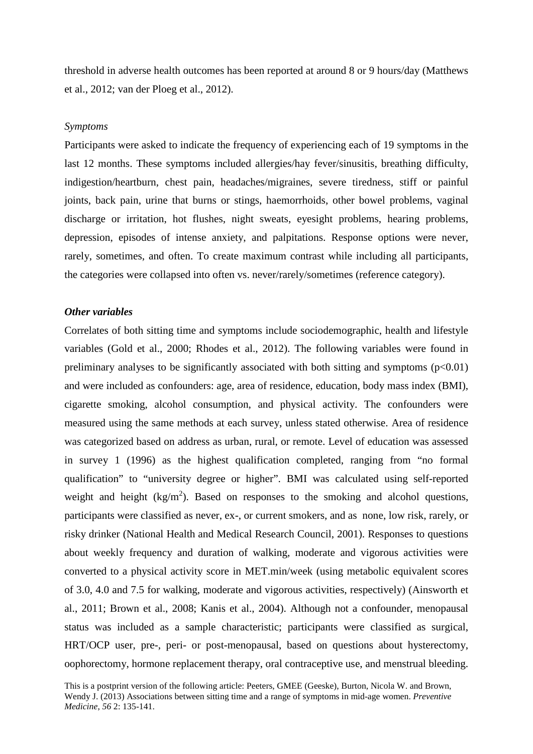threshold in adverse health outcomes has been reported at around 8 or 9 hours/day [\(Matthews](#page-12-2)  [et al., 2012;](#page-12-2) [van der Ploeg et al., 2012\)](#page-13-6).

### *Symptoms*

Participants were asked to indicate the frequency of experiencing each of 19 symptoms in the last 12 months. These symptoms included allergies/hay fever/sinusitis, breathing difficulty, indigestion/heartburn, chest pain, headaches/migraines, severe tiredness, stiff or painful joints, back pain, urine that burns or stings, haemorrhoids, other bowel problems, vaginal discharge or irritation, hot flushes, night sweats, eyesight problems, hearing problems, depression, episodes of intense anxiety, and palpitations. Response options were never, rarely, sometimes, and often. To create maximum contrast while including all participants, the categories were collapsed into often vs. never/rarely/sometimes (reference category).

# *Other variables*

Correlates of both sitting time and symptoms include sociodemographic, health and lifestyle variables [\(Gold et al., 2000;](#page-11-4) [Rhodes et al., 2012\)](#page-13-7). The following variables were found in preliminary analyses to be significantly associated with both sitting and symptoms  $(p<0.01)$ and were included as confounders: age, area of residence, education, body mass index (BMI), cigarette smoking, alcohol consumption, and physical activity. The confounders were measured using the same methods at each survey, unless stated otherwise. Area of residence was categorized based on address as urban, rural, or remote. Level of education was assessed in survey 1 (1996) as the highest qualification completed, ranging from "no formal qualification" to "university degree or higher". BMI was calculated using self-reported weight and height  $(kg/m^2)$ . Based on responses to the smoking and alcohol questions, participants were classified as never, ex-, or current smokers, and as none, low risk, rarely, or risky drinker [\(National Health and Medical Research Council, 2001\)](#page-12-10). Responses to questions about weekly frequency and duration of walking, moderate and vigorous activities were converted to a physical activity score in MET.min/week (using metabolic equivalent scores of 3.0, 4.0 and 7.5 for walking, moderate and vigorous activities, respectively) [\(Ainsworth et](#page-10-2)  [al., 2011;](#page-10-2) [Brown et al., 2008;](#page-11-5) [Kanis et al., 2004\)](#page-11-6). Although not a confounder, menopausal status was included as a sample characteristic; participants were classified as surgical, HRT/OCP user, pre-, peri- or post-menopausal, based on questions about hysterectomy, oophorectomy, hormone replacement therapy, oral contraceptive use, and menstrual bleeding.

This is a postprint version of the following article: Peeters, GMEE (Geeske), Burton, Nicola W. and Brown, Wendy J. (2013) Associations between sitting time and a range of symptoms in mid-age women. *Preventive Medicine*, *56* 2: 135-141.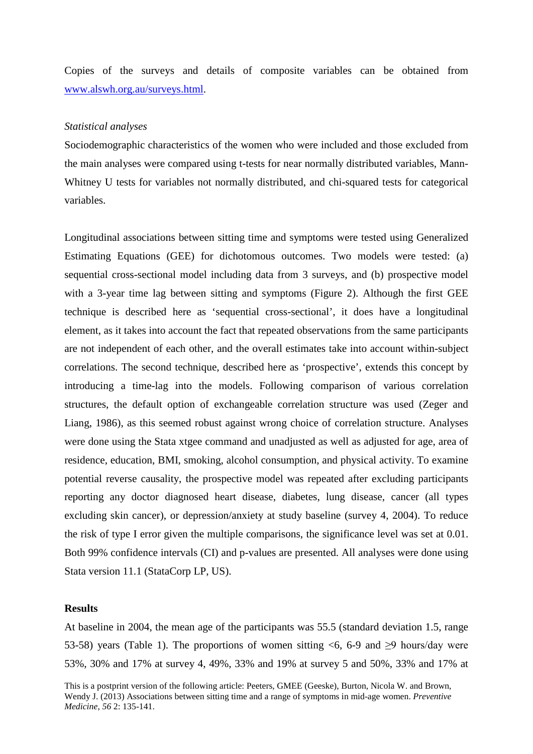Copies of the surveys and details of composite variables can be obtained from [www.alswh.org.au/surveys.html.](http://www.alswh.org.au/surveys.html)

#### *Statistical analyses*

Sociodemographic characteristics of the women who were included and those excluded from the main analyses were compared using t-tests for near normally distributed variables, Mann-Whitney U tests for variables not normally distributed, and chi-squared tests for categorical variables.

Longitudinal associations between sitting time and symptoms were tested using Generalized Estimating Equations (GEE) for dichotomous outcomes. Two models were tested: (a) sequential cross-sectional model including data from 3 surveys, and (b) prospective model with a 3-year time lag between sitting and symptoms (Figure 2). Although the first GEE technique is described here as 'sequential cross-sectional', it does have a longitudinal element, as it takes into account the fact that repeated observations from the same participants are not independent of each other, and the overall estimates take into account within-subject correlations. The second technique, described here as 'prospective', extends this concept by introducing a time-lag into the models. Following comparison of various correlation structures, the default option of exchangeable correlation structure was used [\(Zeger and](#page-13-8)  [Liang, 1986\)](#page-13-8), as this seemed robust against wrong choice of correlation structure. Analyses were done using the Stata xtgee command and unadjusted as well as adjusted for age, area of residence, education, BMI, smoking, alcohol consumption, and physical activity. To examine potential reverse causality, the prospective model was repeated after excluding participants reporting any doctor diagnosed heart disease, diabetes, lung disease, cancer (all types excluding skin cancer), or depression/anxiety at study baseline (survey 4, 2004). To reduce the risk of type I error given the multiple comparisons, the significance level was set at 0.01. Both 99% confidence intervals (CI) and p-values are presented. All analyses were done using Stata version 11.1 (StataCorp LP, US).

### **Results**

At baseline in 2004, the mean age of the participants was 55.5 (standard deviation 1.5, range 53-58) years (Table 1). The proportions of women sitting  $\lt 6$ , 6-9 and  $\geq 9$  hours/day were 53%, 30% and 17% at survey 4, 49%, 33% and 19% at survey 5 and 50%, 33% and 17% at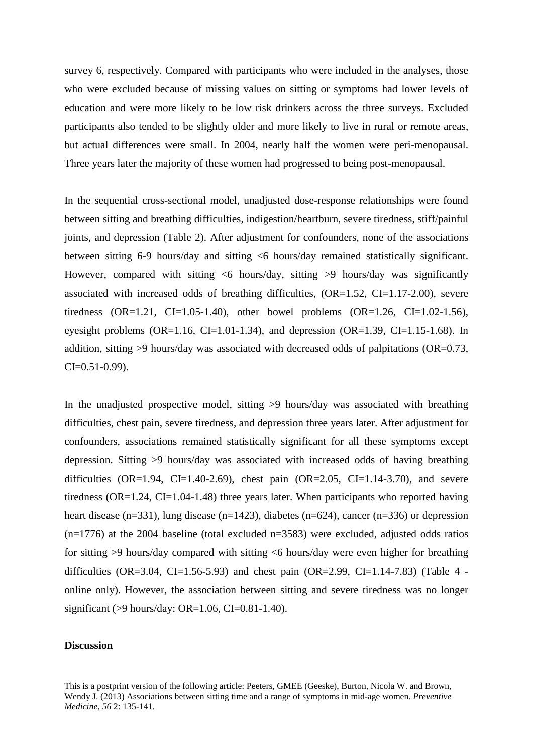survey 6, respectively. Compared with participants who were included in the analyses, those who were excluded because of missing values on sitting or symptoms had lower levels of education and were more likely to be low risk drinkers across the three surveys. Excluded participants also tended to be slightly older and more likely to live in rural or remote areas, but actual differences were small. In 2004, nearly half the women were peri-menopausal. Three years later the majority of these women had progressed to being post-menopausal.

In the sequential cross-sectional model, unadjusted dose-response relationships were found between sitting and breathing difficulties, indigestion/heartburn, severe tiredness, stiff/painful joints, and depression (Table 2). After adjustment for confounders, none of the associations between sitting 6-9 hours/day and sitting <6 hours/day remained statistically significant. However, compared with sitting  $\leq 6$  hours/day, sitting  $\geq 9$  hours/day was significantly associated with increased odds of breathing difficulties, (OR=1.52, CI=1.17-2.00), severe tiredness  $(OR=1.21, CI=1.05-1.40)$ , other bowel problems  $(OR=1.26, CI=1.02-1.56)$ , eyesight problems (OR=1.16, CI=1.01-1.34), and depression (OR=1.39, CI=1.15-1.68). In addition, sitting >9 hours/day was associated with decreased odds of palpitations (OR=0.73,  $CI = 0.51 - 0.99$ ).

In the unadjusted prospective model, sitting >9 hours/day was associated with breathing difficulties, chest pain, severe tiredness, and depression three years later. After adjustment for confounders, associations remained statistically significant for all these symptoms except depression. Sitting >9 hours/day was associated with increased odds of having breathing difficulties (OR=1.94, CI=1.40-2.69), chest pain (OR=2.05, CI=1.14-3.70), and severe tiredness (OR=1.24, CI=1.04-1.48) three years later. When participants who reported having heart disease (n=331), lung disease (n=1423), diabetes (n=624), cancer (n=336) or depression  $(n=1776)$  at the 2004 baseline (total excluded n=3583) were excluded, adjusted odds ratios for sitting >9 hours/day compared with sitting <6 hours/day were even higher for breathing difficulties (OR=3.04, CI=1.56-5.93) and chest pain (OR=2.99, CI=1.14-7.83) (Table 4 online only). However, the association between sitting and severe tiredness was no longer significant (>9 hours/day: OR=1.06, CI=0.81-1.40).

### **Discussion**

This is a postprint version of the following article: Peeters, GMEE (Geeske), Burton, Nicola W. and Brown, Wendy J. (2013) Associations between sitting time and a range of symptoms in mid-age women. *Preventive Medicine*, *56* 2: 135-141.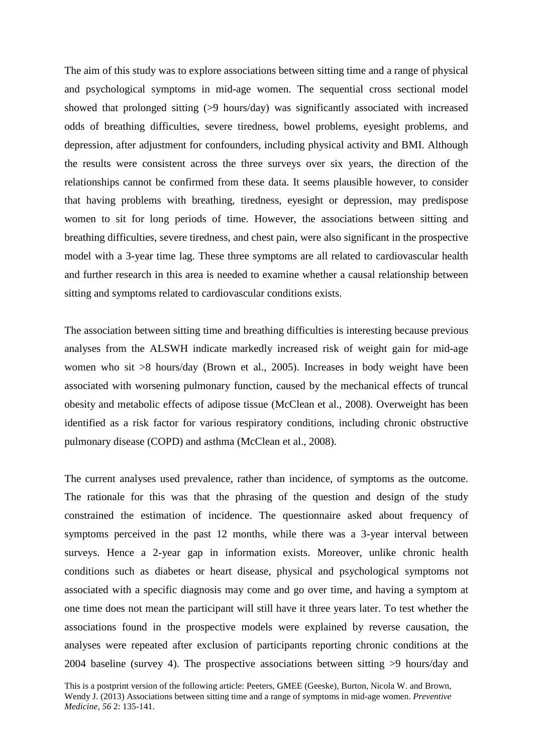The aim of this study was to explore associations between sitting time and a range of physical and psychological symptoms in mid-age women. The sequential cross sectional model showed that prolonged sitting (>9 hours/day) was significantly associated with increased odds of breathing difficulties, severe tiredness, bowel problems, eyesight problems, and depression, after adjustment for confounders, including physical activity and BMI. Although the results were consistent across the three surveys over six years, the direction of the relationships cannot be confirmed from these data. It seems plausible however, to consider that having problems with breathing, tiredness, eyesight or depression, may predispose women to sit for long periods of time. However, the associations between sitting and breathing difficulties, severe tiredness, and chest pain, were also significant in the prospective model with a 3-year time lag. These three symptoms are all related to cardiovascular health and further research in this area is needed to examine whether a causal relationship between sitting and symptoms related to cardiovascular conditions exists.

The association between sitting time and breathing difficulties is interesting because previous analyses from the ALSWH indicate markedly increased risk of weight gain for mid-age women who sit >8 hours/day [\(Brown et al., 2005\)](#page-11-7). Increases in body weight have been associated with worsening pulmonary function, caused by the mechanical effects of truncal obesity and metabolic effects of adipose tissue [\(McClean et](#page-12-11) al., 2008). Overweight has been identified as a risk factor for various respiratory conditions, including chronic obstructive pulmonary disease (COPD) and asthma [\(McClean et al., 2008\)](#page-12-11).

The current analyses used prevalence, rather than incidence, of symptoms as the outcome. The rationale for this was that the phrasing of the question and design of the study constrained the estimation of incidence. The questionnaire asked about frequency of symptoms perceived in the past 12 months, while there was a 3-year interval between surveys. Hence a 2-year gap in information exists. Moreover, unlike chronic health conditions such as diabetes or heart disease, physical and psychological symptoms not associated with a specific diagnosis may come and go over time, and having a symptom at one time does not mean the participant will still have it three years later. To test whether the associations found in the prospective models were explained by reverse causation, the analyses were repeated after exclusion of participants reporting chronic conditions at the 2004 baseline (survey 4). The prospective associations between sitting >9 hours/day and

This is a postprint version of the following article: Peeters, GMEE (Geeske), Burton, Nicola W. and Brown, Wendy J. (2013) Associations between sitting time and a range of symptoms in mid-age women. *Preventive Medicine*, *56* 2: 135-141.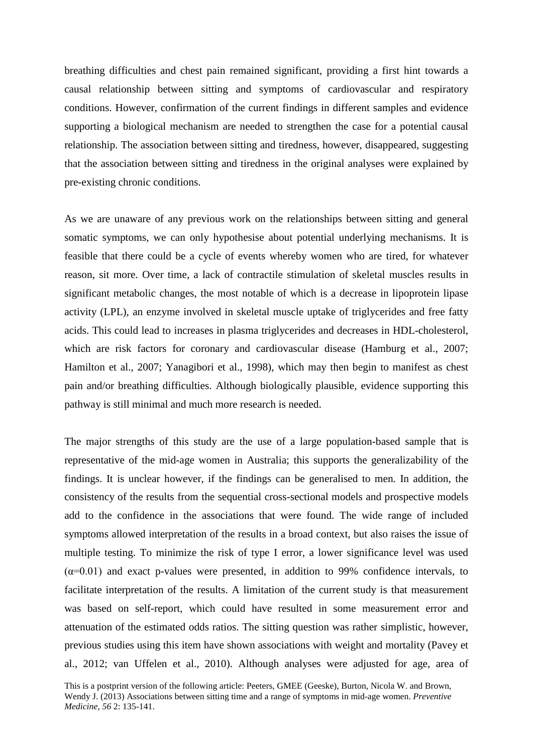breathing difficulties and chest pain remained significant, providing a first hint towards a causal relationship between sitting and symptoms of cardiovascular and respiratory conditions. However, confirmation of the current findings in different samples and evidence supporting a biological mechanism are needed to strengthen the case for a potential causal relationship. The association between sitting and tiredness, however, disappeared, suggesting that the association between sitting and tiredness in the original analyses were explained by pre-existing chronic conditions.

As we are unaware of any previous work on the relationships between sitting and general somatic symptoms, we can only hypothesise about potential underlying mechanisms. It is feasible that there could be a cycle of events whereby women who are tired, for whatever reason, sit more. Over time, a lack of contractile stimulation of skeletal muscles results in significant metabolic changes, the most notable of which is a decrease in lipoprotein lipase activity (LPL), an enzyme involved in skeletal muscle uptake of triglycerides and free fatty acids. This could lead to increases in plasma triglycerides and decreases in HDL-cholesterol, which are risk factors for coronary and cardiovascular disease [\(Hamburg et al., 2007;](#page-11-8) [Hamilton et al., 2007;](#page-11-9) [Yanagibori et al., 1998\)](#page-13-9), which may then begin to manifest as chest pain and/or breathing difficulties. Although biologically plausible, evidence supporting this pathway is still minimal and much more research is needed.

The major strengths of this study are the use of a large population-based sample that is representative of the mid-age women in Australia; this supports the generalizability of the findings. It is unclear however, if the findings can be generalised to men. In addition, the consistency of the results from the sequential cross-sectional models and prospective models add to the confidence in the associations that were found. The wide range of included symptoms allowed interpretation of the results in a broad context, but also raises the issue of multiple testing. To minimize the risk of type I error, a lower significance level was used  $(\alpha=0.01)$  and exact p-values were presented, in addition to 99% confidence intervals, to facilitate interpretation of the results. A limitation of the current study is that measurement was based on self-report, which could have resulted in some measurement error and attenuation of the estimated odds ratios. The sitting question was rather simplistic, however, previous studies using this item have shown associations with weight and mortality [\(Pavey et](#page-13-10)  [al., 2012;](#page-13-10) [van Uffelen et al., 2010\)](#page-13-5). Although analyses were adjusted for age, area of

This is a postprint version of the following article: Peeters, GMEE (Geeske), Burton, Nicola W. and Brown, Wendy J. (2013) Associations between sitting time and a range of symptoms in mid-age women. *Preventive Medicine*, *56* 2: 135-141.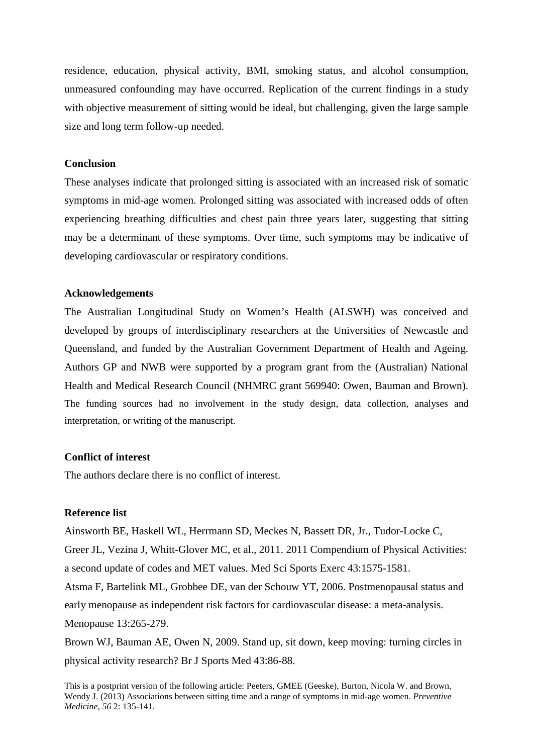residence, education, physical activity, BMI, smoking status, and alcohol consumption, unmeasured confounding may have occurred. Replication of the current findings in a study with objective measurement of sitting would be ideal, but challenging, given the large sample size and long term follow-up needed.

# **Conclusion**

These analyses indicate that prolonged sitting is associated with an increased risk of somatic symptoms in mid-age women. Prolonged sitting was associated with increased odds of often experiencing breathing difficulties and chest pain three years later, suggesting that sitting may be a determinant of these symptoms. Over time, such symptoms may be indicative of developing cardiovascular or respiratory conditions.

### **Acknowledgements**

The Australian Longitudinal Study on Women's Health (ALSWH) was conceived and developed by groups of interdisciplinary researchers at the Universities of Newcastle and Queensland, and funded by the Australian Government Department of Health and Ageing. Authors GP and NWB were supported by a program grant from the (Australian) National Health and Medical Research Council (NHMRC grant 569940: Owen, Bauman and Brown). The funding sources had no involvement in the study design, data collection, analyses and interpretation, or writing of the manuscript.

# **Conflict of interest**

The authors declare there is no conflict of interest.

#### **Reference list**

<span id="page-10-2"></span>Ainsworth BE, Haskell WL, Herrmann SD, Meckes N, Bassett DR, Jr., Tudor-Locke C, Greer JL, Vezina J, Whitt-Glover MC, et al., 2011. 2011 Compendium of Physical Activities: a second update of codes and MET values. Med Sci Sports Exerc 43:1575-1581.

<span id="page-10-1"></span>Atsma F, Bartelink ML, Grobbee DE, van der Schouw YT, 2006. Postmenopausal status and early menopause as independent risk factors for cardiovascular disease: a meta-analysis. Menopause 13:265-279.

<span id="page-10-0"></span>Brown WJ, Bauman AE, Owen N, 2009. Stand up, sit down, keep moving: turning circles in physical activity research? Br J Sports Med 43:86-88.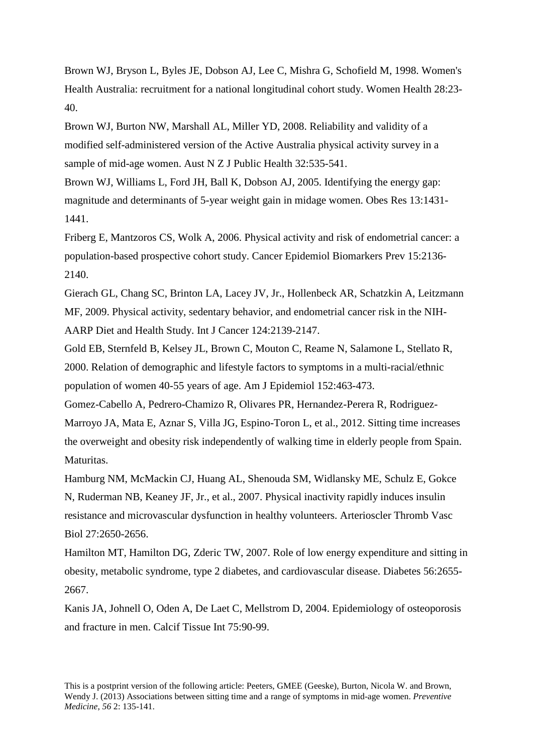<span id="page-11-3"></span>Brown WJ, Bryson L, Byles JE, Dobson AJ, Lee C, Mishra G, Schofield M, 1998. Women's Health Australia: recruitment for a national longitudinal cohort study. Women Health 28:23- 40.

<span id="page-11-5"></span>Brown WJ, Burton NW, Marshall AL, Miller YD, 2008. Reliability and validity of a modified self-administered version of the Active Australia physical activity survey in a sample of mid-age women. Aust N Z J Public Health 32:535-541.

<span id="page-11-7"></span>Brown WJ, Williams L, Ford JH, Ball K, Dobson AJ, 2005. Identifying the energy gap: magnitude and determinants of 5-year weight gain in midage women. Obes Res 13:1431- 1441.

<span id="page-11-1"></span>Friberg E, Mantzoros CS, Wolk A, 2006. Physical activity and risk of endometrial cancer: a population-based prospective cohort study. Cancer Epidemiol Biomarkers Prev 15:2136- 2140.

<span id="page-11-2"></span>Gierach GL, Chang SC, Brinton LA, Lacey JV, Jr., Hollenbeck AR, Schatzkin A, Leitzmann MF, 2009. Physical activity, sedentary behavior, and endometrial cancer risk in the NIH-AARP Diet and Health Study. Int J Cancer 124:2139-2147.

<span id="page-11-4"></span>Gold EB, Sternfeld B, Kelsey JL, Brown C, Mouton C, Reame N, Salamone L, Stellato R, 2000. Relation of demographic and lifestyle factors to symptoms in a multi-racial/ethnic population of women 40-55 years of age. Am J Epidemiol 152:463-473.

<span id="page-11-0"></span>Gomez-Cabello A, Pedrero-Chamizo R, Olivares PR, Hernandez-Perera R, Rodriguez-Marroyo JA, Mata E, Aznar S, Villa JG, Espino-Toron L, et al., 2012. Sitting time increases the overweight and obesity risk independently of walking time in elderly people from Spain. Maturitas.

<span id="page-11-8"></span>Hamburg NM, McMackin CJ, Huang AL, Shenouda SM, Widlansky ME, Schulz E, Gokce N, Ruderman NB, Keaney JF, Jr., et al., 2007. Physical inactivity rapidly induces insulin resistance and microvascular dysfunction in healthy volunteers. Arterioscler Thromb Vasc Biol 27:2650-2656.

<span id="page-11-9"></span>Hamilton MT, Hamilton DG, Zderic TW, 2007. Role of low energy expenditure and sitting in obesity, metabolic syndrome, type 2 diabetes, and cardiovascular disease. Diabetes 56:2655- 2667.

<span id="page-11-6"></span>Kanis JA, Johnell O, Oden A, De Laet C, Mellstrom D, 2004. Epidemiology of osteoporosis and fracture in men. Calcif Tissue Int 75:90-99.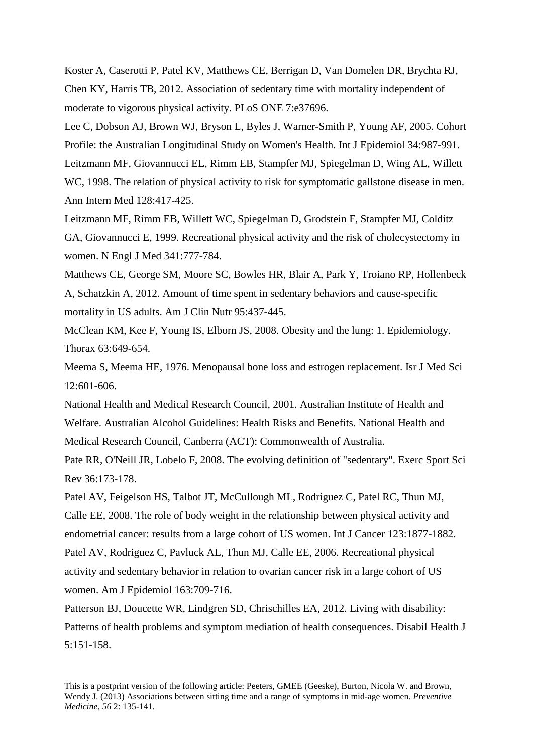<span id="page-12-1"></span>Koster A, Caserotti P, Patel KV, Matthews CE, Berrigan D, Van Domelen DR, Brychta RJ, Chen KY, Harris TB, 2012. Association of sedentary time with mortality independent of moderate to vigorous physical activity. PLoS ONE 7:e37696.

<span id="page-12-9"></span><span id="page-12-3"></span>Lee C, Dobson AJ, Brown WJ, Bryson L, Byles J, Warner-Smith P, Young AF, 2005. Cohort Profile: the Australian Longitudinal Study on Women's Health. Int J Epidemiol 34:987-991. Leitzmann MF, Giovannucci EL, Rimm EB, Stampfer MJ, Spiegelman D, Wing AL, Willett WC, 1998. The relation of physical activity to risk for symptomatic gallstone disease in men. Ann Intern Med 128:417-425.

<span id="page-12-4"></span>Leitzmann MF, Rimm EB, Willett WC, Spiegelman D, Grodstein F, Stampfer MJ, Colditz GA, Giovannucci E, 1999. Recreational physical activity and the risk of cholecystectomy in women. N Engl J Med 341:777-784.

<span id="page-12-2"></span>Matthews CE, George SM, Moore SC, Bowles HR, Blair A, Park Y, Troiano RP, Hollenbeck A, Schatzkin A, 2012. Amount of time spent in sedentary behaviors and cause-specific mortality in US adults. Am J Clin Nutr 95:437-445.

<span id="page-12-11"></span>McClean KM, Kee F, Young IS, Elborn JS, 2008. Obesity and the lung: 1. Epidemiology. Thorax 63:649-654.

<span id="page-12-8"></span>Meema S, Meema HE, 1976. Menopausal bone loss and estrogen replacement. Isr J Med Sci 12:601-606.

<span id="page-12-10"></span>National Health and Medical Research Council, 2001. Australian Institute of Health and Welfare. Australian Alcohol Guidelines: Health Risks and Benefits. National Health and Medical Research Council, Canberra (ACT): Commonwealth of Australia.

<span id="page-12-0"></span>Pate RR, O'Neill JR, Lobelo F, 2008. The evolving definition of "sedentary". Exerc Sport Sci Rev 36:173-178.

<span id="page-12-6"></span><span id="page-12-5"></span>Patel AV, Feigelson HS, Talbot JT, McCullough ML, Rodriguez C, Patel RC, Thun MJ, Calle EE, 2008. The role of body weight in the relationship between physical activity and endometrial cancer: results from a large cohort of US women. Int J Cancer 123:1877-1882. Patel AV, Rodriguez C, Pavluck AL, Thun MJ, Calle EE, 2006. Recreational physical activity and sedentary behavior in relation to ovarian cancer risk in a large cohort of US women. Am J Epidemiol 163:709-716.

<span id="page-12-7"></span>Patterson BJ, Doucette WR, Lindgren SD, Chrischilles EA, 2012. Living with disability: Patterns of health problems and symptom mediation of health consequences. Disabil Health J 5:151-158.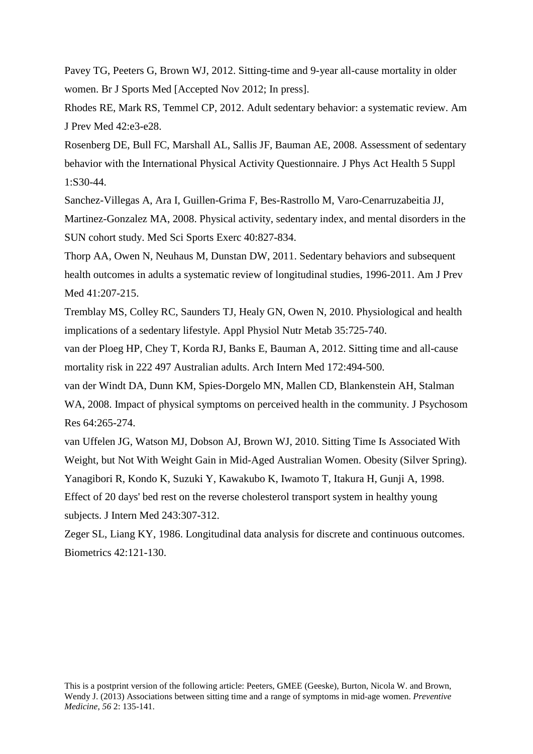<span id="page-13-10"></span>Pavey TG, Peeters G, Brown WJ, 2012. Sitting-time and 9-year all-cause mortality in older women. Br J Sports Med [Accepted Nov 2012; In press].

<span id="page-13-7"></span>Rhodes RE, Mark RS, Temmel CP, 2012. Adult sedentary behavior: a systematic review. Am J Prev Med 42:e3-e28.

<span id="page-13-4"></span>Rosenberg DE, Bull FC, Marshall AL, Sallis JF, Bauman AE, 2008. Assessment of sedentary behavior with the International Physical Activity Questionnaire. J Phys Act Health 5 Suppl 1:S30-44.

<span id="page-13-2"></span>Sanchez-Villegas A, Ara I, Guillen-Grima F, Bes-Rastrollo M, Varo-Cenarruzabeitia JJ, Martinez-Gonzalez MA, 2008. Physical activity, sedentary index, and mental disorders in the SUN cohort study. Med Sci Sports Exerc 40:827-834.

<span id="page-13-0"></span>Thorp AA, Owen N, Neuhaus M, Dunstan DW, 2011. Sedentary behaviors and subsequent health outcomes in adults a systematic review of longitudinal studies, 1996-2011. Am J Prev Med 41:207-215.

<span id="page-13-1"></span>Tremblay MS, Colley RC, Saunders TJ, Healy GN, Owen N, 2010. Physiological and health implications of a sedentary lifestyle. Appl Physiol Nutr Metab 35:725-740.

<span id="page-13-6"></span>van der Ploeg HP, Chey T, Korda RJ, Banks E, Bauman A, 2012. Sitting time and all-cause mortality risk in 222 497 Australian adults. Arch Intern Med 172:494-500.

<span id="page-13-3"></span>van der Windt DA, Dunn KM, Spies-Dorgelo MN, Mallen CD, Blankenstein AH, Stalman WA, 2008. Impact of physical symptoms on perceived health in the community. J Psychosom Res 64:265-274.

<span id="page-13-9"></span><span id="page-13-5"></span>van Uffelen JG, Watson MJ, Dobson AJ, Brown WJ, 2010. Sitting Time Is Associated With Weight, but Not With Weight Gain in Mid-Aged Australian Women. Obesity (Silver Spring). Yanagibori R, Kondo K, Suzuki Y, Kawakubo K, Iwamoto T, Itakura H, Gunji A, 1998. Effect of 20 days' bed rest on the reverse cholesterol transport system in healthy young

subjects. J Intern Med 243:307-312.

<span id="page-13-8"></span>Zeger SL, Liang KY, 1986. Longitudinal data analysis for discrete and continuous outcomes. Biometrics 42:121-130.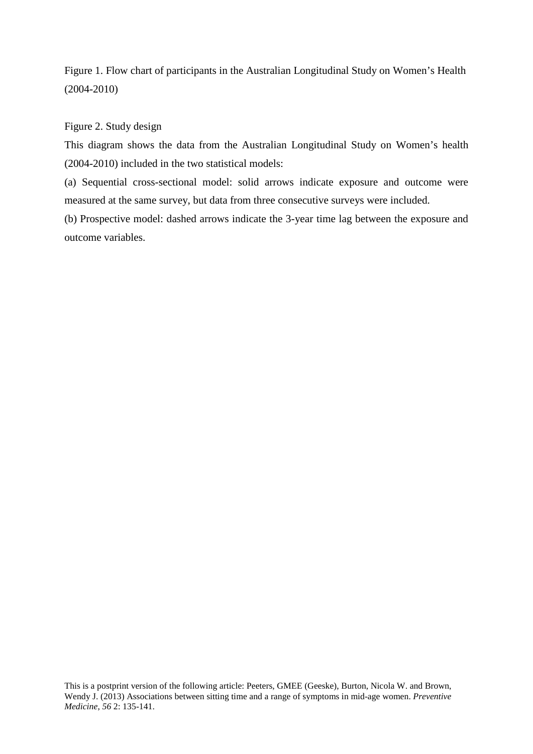Figure 1. Flow chart of participants in the Australian Longitudinal Study on Women's Health (2004-2010)

# Figure 2. Study design

This diagram shows the data from the Australian Longitudinal Study on Women's health (2004-2010) included in the two statistical models:

(a) Sequential cross-sectional model: solid arrows indicate exposure and outcome were measured at the same survey, but data from three consecutive surveys were included.

(b) Prospective model: dashed arrows indicate the 3-year time lag between the exposure and outcome variables.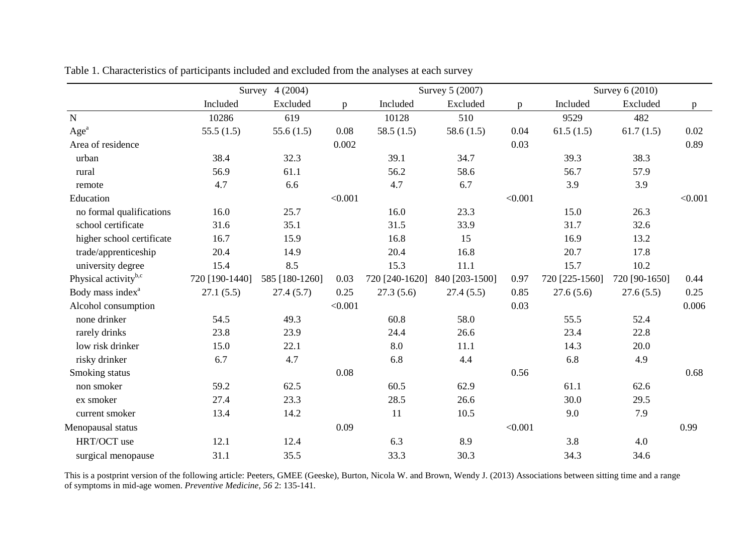|                                  | Survey 4 (2004) |                |         |                | Survey 5 (2007) |         | Survey 6 (2010) |               |         |
|----------------------------------|-----------------|----------------|---------|----------------|-----------------|---------|-----------------|---------------|---------|
|                                  | Included        | Excluded       | p       | Included       | Excluded        | p       | Included        | Excluded      | p       |
| $\mathbf N$                      | 10286           | 619            |         | 10128          | 510             |         | 9529            | 482           |         |
| Age <sup>a</sup>                 | 55.5(1.5)       | 55.6 $(1.5)$   | 0.08    | 58.5(1.5)      | 58.6 $(1.5)$    | 0.04    | 61.5(1.5)       | 61.7(1.5)     | 0.02    |
| Area of residence                |                 |                | 0.002   |                |                 | 0.03    |                 |               | 0.89    |
| urban                            | 38.4            | 32.3           |         | 39.1           | 34.7            |         | 39.3            | 38.3          |         |
| rural                            | 56.9            | 61.1           |         | 56.2           | 58.6            |         | 56.7            | 57.9          |         |
| remote                           | 4.7             | 6.6            |         | 4.7            | 6.7             |         | 3.9             | 3.9           |         |
| Education                        |                 |                | < 0.001 |                |                 | < 0.001 |                 |               | < 0.001 |
| no formal qualifications         | 16.0            | 25.7           |         | 16.0           | 23.3            |         | 15.0            | 26.3          |         |
| school certificate               | 31.6            | 35.1           |         | 31.5           | 33.9            |         | 31.7            | 32.6          |         |
| higher school certificate        | 16.7            | 15.9           |         | 16.8           | 15              |         | 16.9            | 13.2          |         |
| trade/apprenticeship             | 20.4            | 14.9           |         | 20.4           | 16.8            |         | 20.7            | 17.8          |         |
| university degree                | 15.4            | 8.5            |         | 15.3           | 11.1            |         | 15.7            | 10.2          |         |
| Physical activity <sup>b,c</sup> | 720 [190-1440]  | 585 [180-1260] | 0.03    | 720 [240-1620] | 840 [203-1500]  | 0.97    | 720 [225-1560]  | 720 [90-1650] | 0.44    |
| Body mass index <sup>a</sup>     | 27.1(5.5)       | 27.4(5.7)      | 0.25    | 27.3(5.6)      | 27.4(5.5)       | 0.85    | 27.6(5.6)       | 27.6(5.5)     | 0.25    |
| Alcohol consumption              |                 |                | < 0.001 |                |                 | 0.03    |                 |               | 0.006   |
| none drinker                     | 54.5            | 49.3           |         | 60.8           | 58.0            |         | 55.5            | 52.4          |         |
| rarely drinks                    | 23.8            | 23.9           |         | 24.4           | 26.6            |         | 23.4            | 22.8          |         |
| low risk drinker                 | 15.0            | 22.1           |         | 8.0            | 11.1            |         | 14.3            | 20.0          |         |
| risky drinker                    | 6.7             | 4.7            |         | 6.8            | 4.4             |         | 6.8             | 4.9           |         |
| Smoking status                   |                 |                | 0.08    |                |                 | 0.56    |                 |               | 0.68    |
| non smoker                       | 59.2            | 62.5           |         | 60.5           | 62.9            |         | 61.1            | 62.6          |         |
| ex smoker                        | 27.4            | 23.3           |         | 28.5           | 26.6            |         | 30.0            | 29.5          |         |
| current smoker                   | 13.4            | 14.2           |         | 11             | 10.5            |         | 9.0             | 7.9           |         |
| Menopausal status                |                 |                | 0.09    |                |                 | < 0.001 |                 |               | 0.99    |
| HRT/OCT use                      | 12.1            | 12.4           |         | 6.3            | 8.9             |         | 3.8             | 4.0           |         |
| surgical menopause               | 31.1            | 35.5           |         | 33.3           | 30.3            |         | 34.3            | 34.6          |         |

Table 1. Characteristics of participants included and excluded from the analyses at each survey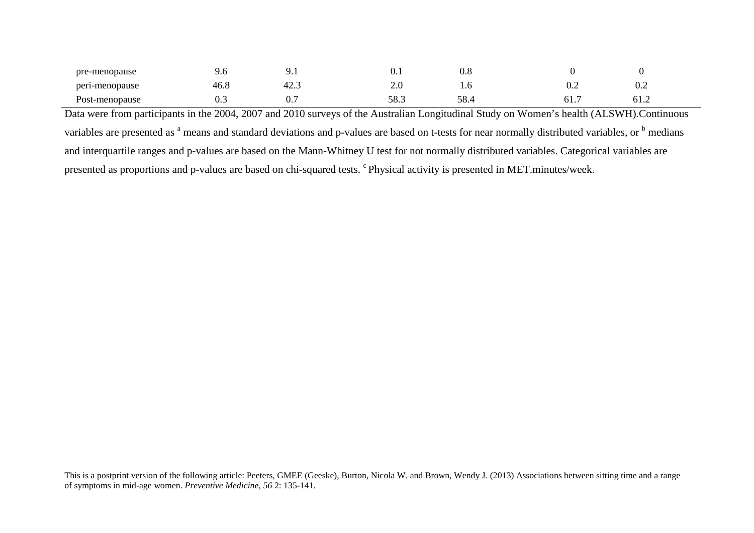| pre-menopause        | 7.U  | , <u>. .</u>   | $\mathbf{U} \cdot \mathbf{A}$ | v.c        |            |             |  |
|----------------------|------|----------------|-------------------------------|------------|------------|-------------|--|
| ri-menopause<br>peri | .v.o | 42.3           | ⊸∙                            | 1.U        | ◡ •∠       | ◡.∠<br>$ -$ |  |
| Post-menopause       | ◡.◡  | $\mathbf{v}$ . | 50 C<br>JO.J                  | cο.<br>ັບ. | <b>UI.</b> | . <u>.</u>  |  |

Data were from participants in the 2004, 2007 and 2010 surveys of the Australian Longitudinal Study on Women's health (ALSWH).Continuous variables are presented as <sup>a</sup> means and standard deviations and p-values are based on t-tests for near normally distributed variables, or <sup>b</sup> medians and interquartile ranges and p-values are based on the Mann-Whitney U test for not normally distributed variables. Categorical variables are presented as proportions and p-values are based on chi-squared tests. <sup>c</sup> Physical activity is presented in MET.minutes/week.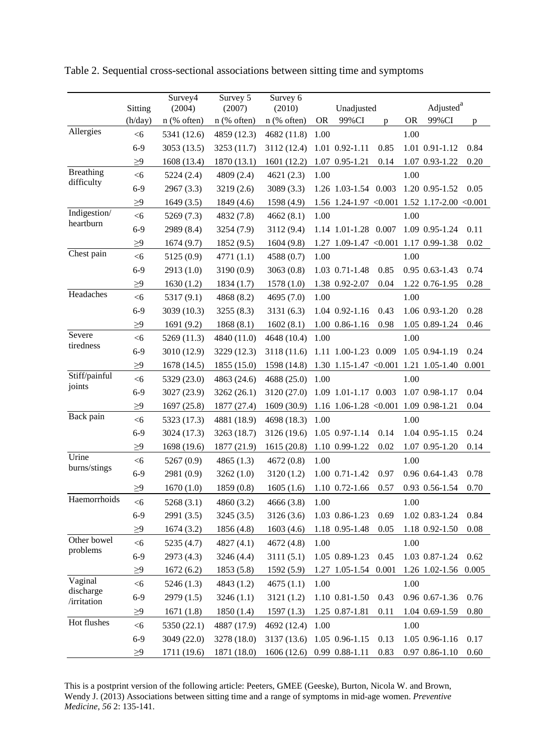|                                | Sitting     | Survey4<br>(2004) | Survey 5<br>(2007) | Survey 6<br>(2010) |           | Unadjusted                                      |       |           | Adjusted <sup>a</sup>                         |       |
|--------------------------------|-------------|-------------------|--------------------|--------------------|-----------|-------------------------------------------------|-------|-----------|-----------------------------------------------|-------|
|                                | (h/day)     | $n$ (% often)     | n (% often)        | n (% often)        | <b>OR</b> | 99%CI                                           | p     | <b>OR</b> | 99%CI                                         | p     |
| Allergies                      | $<$ 6       | 5341 (12.6)       | 4859 (12.3)        | 4682 (11.8)        | 1.00      |                                                 |       | 1.00      |                                               |       |
|                                | $6 - 9$     | 3053 (13.5)       | 3253 (11.7)        | 3112 (12.4)        |           | 1.01 0.92-1.11                                  | 0.85  |           | 1.01 0.91-1.12                                | 0.84  |
|                                | $\geq 9$    | 1608 (13.4)       | 1870 (13.1)        | 1601 (12.2)        |           | 1.07 0.95-1.21                                  | 0.14  |           | 1.07 0.93-1.22                                | 0.20  |
| <b>Breathing</b><br>difficulty | <6          | 5224(2.4)         | 4809 (2.4)         | 4621(2.3)          | 1.00      |                                                 |       | 1.00      |                                               |       |
|                                | $6-9$       | 2967 (3.3)        | 3219(2.6)          | 3089 (3.3)         |           | 1.26 1.03-1.54 0.003                            |       |           | 1.20 0.95-1.52                                | 0.05  |
|                                | $\geq 9$    | 1649(3.5)         | 1849(4.6)          | 1598 (4.9)         |           |                                                 |       |           | 1.56 1.24-1.97 < 0.001 1.52 1.17-2.00 < 0.001 |       |
| Indigestion/<br>heartburn      | <6          | 5269(7.3)         | 4832 (7.8)         | 4662(8.1)          | 1.00      |                                                 |       | 1.00      |                                               |       |
|                                | $6-9$       | 2989 (8.4)        | 3254(7.9)          | 3112 (9.4)         |           | 1.14 1.01-1.28 0.007                            |       |           | 1.09 0.95-1.24                                | 0.11  |
|                                | $\geq\!\!9$ | 1674(9.7)         | 1852 (9.5)         | 1604(9.8)          |           | 1.27 1.09-1.47 < 0.001 1.17 0.99-1.38           |       |           |                                               | 0.02  |
| Chest pain                     | <6          | 5125 (0.9)        | 4771(1.1)          | 4588 (0.7)         | 1.00      |                                                 |       | 1.00      |                                               |       |
|                                | $6-9$       | 2913 (1.0)        | 3190 (0.9)         | 3063(0.8)          |           | 1.03 0.71-1.48                                  | 0.85  |           | 0.95 0.63-1.43                                | 0.74  |
|                                | $\geq 9$    | 1630(1.2)         | 1834 (1.7)         | 1578(1.0)          |           | 1.38 0.92-2.07                                  | 0.04  |           | 1.22 0.76-1.95                                | 0.28  |
| Headaches                      | $<$ 6       | 5317 (9.1)        | 4868 (8.2)         | 4695 (7.0)         | 1.00      |                                                 |       | 1.00      |                                               |       |
|                                | $6-9$       | 3039 (10.3)       | 3255(8.3)          | 3131(6.3)          |           | 1.04 0.92-1.16                                  | 0.43  |           | 1.06 0.93-1.20                                | 0.28  |
|                                | $\geq$ 9    | 1691 (9.2)        | 1868(8.1)          | 1602(8.1)          |           | 1.00 0.86-1.16                                  | 0.98  |           | 1.05 0.89-1.24                                | 0.46  |
| Severe                         | <6          | 5269 (11.3)       | 4840 (11.0)        | 4648 (10.4)        | 1.00      |                                                 |       | 1.00      |                                               |       |
| tiredness                      | $6-9$       | 3010 (12.9)       | 3229 (12.3)        | 3118 (11.6)        |           | 1.11 1.00-1.23                                  | 0.009 |           | 1.05 0.94-1.19                                | 0.24  |
|                                | $\geq$      | 1678 (14.5)       | 1855 (15.0)        | 1598 (14.8)        |           | $1.30$ $1.15-1.47$ < 0.001 1.21 1.05-1.40       |       |           |                                               | 0.001 |
| Stiff/painful                  | <6          | 5329 (23.0)       | 4863 (24.6)        | 4688 (25.0)        | 1.00      |                                                 |       | 1.00      |                                               |       |
| joints                         | $6-9$       | 3027 (23.9)       | 3262(26.1)         | 3120 (27.0)        |           | 1.09 1.01-1.17                                  | 0.003 |           | 1.07 0.98-1.17                                | 0.04  |
|                                | $\geq 9$    | 1697 (25.8)       | 1877 (27.4)        | 1609 (30.9)        |           | $1.16$ $1.06 - 1.28$ < 0.001 $1.09$ 0.98 - 1.21 |       |           |                                               | 0.04  |
| Back pain                      | < 6         | 5323 (17.3)       | 4881 (18.9)        | 4698 (18.3)        | 1.00      |                                                 |       | 1.00      |                                               |       |
|                                | $6 - 9$     | 3024 (17.3)       | 3263 (18.7)        | 3126 (19.6)        |           | 1.05 0.97-1.14                                  | 0.14  |           | 1.04 0.95-1.15                                | 0.24  |
|                                | $\geq 9$    | 1698 (19.6)       | 1877 (21.9)        | 1615(20.8)         |           | 1.10 0.99-1.22                                  | 0.02  |           | 1.07 0.95-1.20                                | 0.14  |
| Urine                          | <6          | 5267(0.9)         | 4865(1.3)          | 4672(0.8)          | 1.00      |                                                 |       | 1.00      |                                               |       |
| burns/stings                   | $6 - 9$     | 2981 (0.9)        | 3262(1.0)          | 3120(1.2)          |           | 1.00 0.71-1.42                                  | 0.97  |           | 0.96 0.64-1.43                                | 0.78  |
|                                | $\geq 9$    | 1670(1.0)         | 1859 (0.8)         | 1605(1.6)          |           | 1.10 0.72-1.66                                  | 0.57  |           | 0.93 0.56-1.54                                | 0.70  |
| Haemorrhoids                   | <6          | 5268(3.1)         | 4860(3.2)          | 4666(3.8)          | 1.00      |                                                 |       | 1.00      |                                               |       |
|                                | $6-9$       | 2991 (3.5)        | 3245(3.5)          | 3126(3.6)          |           | 1.03 0.86-1.23                                  | 0.69  |           | 1.02 0.83-1.24                                | 0.84  |
|                                | $\geq 9$    | 1674(3.2)         | 1856 (4.8)         | 1603(4.6)          |           | 1.18 0.95-1.48                                  | 0.05  |           | 1.18 0.92-1.50                                | 0.08  |
| Other bowel                    | $<$ 6       | 5235 (4.7)        | 4827(4.1)          | 4672 (4.8)         | 1.00      |                                                 |       | 1.00      |                                               |       |
| problems                       | $6 - 9$     | 2973 (4.3)        | 3246(4.4)          | 3111(5.1)          |           | 1.05 0.89-1.23                                  | 0.45  |           | 1.03 0.87-1.24                                | 0.62  |
|                                | $\geq$ 9    | 1672(6.2)         | 1853 (5.8)         | 1592 (5.9)         |           | 1.27 1.05-1.54                                  | 0.001 |           | 1.26 1.02-1.56                                | 0.005 |
| Vaginal                        | $<$ 6       | 5246(1.3)         | 4843 (1.2)         | 4675(1.1)          | 1.00      |                                                 |       | 1.00      |                                               |       |
| discharge<br>/irritation       | $6-9$       | 2979 (1.5)        | 3246(1.1)          | 3121(1.2)          |           | 1.10 0.81-1.50                                  | 0.43  |           | 0.96 0.67-1.36                                | 0.76  |
|                                | $\geq 9$    | 1671(1.8)         | 1850(1.4)          | 1597(1.3)          |           | 1.25 0.87-1.81                                  | 0.11  |           | 1.04 0.69-1.59                                | 0.80  |
| Hot flushes                    | $<$ 6       | 5350 (22.1)       | 4887 (17.9)        | 4692 (12.4)        | 1.00      |                                                 |       | 1.00      |                                               |       |
|                                | $6 - 9$     | 3049 (22.0)       | 3278 (18.0)        | 3137 (13.6)        |           | 1.05 0.96-1.15                                  | 0.13  |           | 1.05 0.96-1.16                                | 0.17  |
|                                | $\geq 9$    | 1711 (19.6)       | 1871 (18.0)        | 1606 (12.6)        |           | 0.99 0.88-1.11                                  | 0.83  |           | 0.97 0.86-1.10                                | 0.60  |

Table 2. Sequential cross-sectional associations between sitting time and symptoms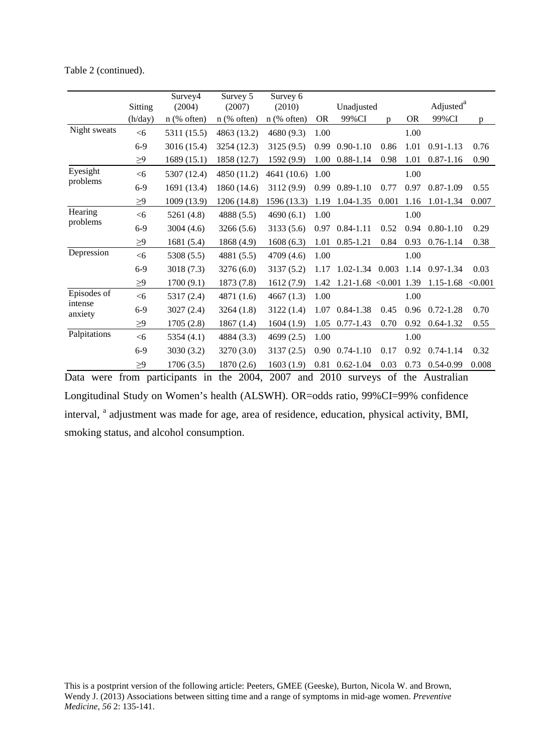Table 2 (continued).

|                     | Sitting     | Survey4<br>(2004)    | Survey 5<br>(2007) | Survey 6<br>(2010) | Unadjusted |                            |       |           | Adjusted <sup>a</sup>          |         |
|---------------------|-------------|----------------------|--------------------|--------------------|------------|----------------------------|-------|-----------|--------------------------------|---------|
|                     | (h/day)     | $n$ (% often)        | n (% often)        | $n$ (% often)      | <b>OR</b>  | 99%CI                      | p     | <b>OR</b> | 99%CI                          | p       |
| Night sweats        | <6          | 5311 (15.5)          | 4863 (13.2)        | 4680 (9.3)         | 1.00       |                            |       | 1.00      |                                |         |
|                     | $6-9$       | 3016 (15.4)          | 3254 (12.3)        | 3125 (9.5)         | 0.99       | $0.90 - 1.10$              | 0.86  | 1.01      | $0.91 - 1.13$                  | 0.76    |
|                     | $\geq 9$    | 1689(15.1)           | 1858 (12.7)        | 1592 (9.9)         | 1.00       | $0.88 - 1.14$              | 0.98  | 1.01      | $0.87 - 1.16$                  | 0.90    |
| Eyesight            | $<$ 6       | 5307 (12.4)          | 4850 (11.2)        | 4641(10.6)         | 1.00       |                            |       | 1.00      |                                |         |
| problems            | $6-9$       | 1691 (13.4)          | 1860 (14.6)        | 3112 (9.9)         | 0.99       | $0.89 - 1.10$              | 0.77  | 0.97      | $0.87 - 1.09$                  | 0.55    |
|                     | $\geq\!\!9$ | 1009 (13.9)          | 1206 (14.8)        | 1596 (13.3)        | 1.19       | 1.04-1.35                  | 0.001 | 1.16      | 1.01-1.34                      | 0.007   |
| Hearing<br>problems | $<$ 6       | 5261(4.8)            | 4888 (5.5)         | 4690(6.1)          | 1.00       |                            |       | 1.00      |                                |         |
|                     | $6-9$       | 3004(4.6)            | 3266(5.6)          | 3133(5.6)          | 0.97       | $0.84 - 1.11$              | 0.52  | 0.94      | $0.80 - 1.10$                  | 0.29    |
|                     | $\geq\!\!9$ | 1681 (5.4)           | 1868 (4.9)         | 1608(6.3)          | 1.01       | $0.85 - 1.21$              | 0.84  | 0.93      | $0.76 - 1.14$                  | 0.38    |
| Depression          | <6          | 5308 (5.5)           | 4881(5.5)          | 4709 (4.6)         | 1.00       |                            |       | 1.00      |                                |         |
|                     | $6-9$       | 3018(7.3)            | 3276(6.0)          | 3137(5.2)          | 1.17       | $1.02 - 1.34$              | 0.003 | 1.14      | $0.97 - 1.34$                  | 0.03    |
|                     | $\geq 9$    | 1700(9.1)            | 1873 (7.8)         | 1612(7.9)          | 1.42       | $1.21 - 1.68$ < 0.001 1.39 |       |           | 1.15-1.68                      | < 0.001 |
| Episodes of         | <6          | 5317(2.4)            | 4871(1.6)          | 4667(1.3)          | 1.00       |                            |       | 1.00      |                                |         |
| intense<br>anxiety  | $6-9$       | 3027(2.4)            | 3264(1.8)          | 3122(1.4)          | 1.07       | 0.84-1.38                  | 0.45  | 0.96      | $0.72 - 1.28$                  | 0.70    |
|                     | $\geq$ 9    | 1705(2.8)            | 1867(1.4)          | 1604(1.9)          | 1.05       | $0.77 - 1.43$              | 0.70  | 0.92      | $0.64 - 1.32$                  | 0.55    |
| Palpitations        | $<$ 6       | 5354(4.1)            | 4884 (3.3)         | 4699(2.5)          | 1.00       |                            |       | 1.00      |                                |         |
|                     | $6-9$       | 3030(3.2)            | 3270(3.0)          | 3137(2.5)          |            | $0.90 \quad 0.74 - 1.10$   | 0.17  | 0.92      | $0.74 - 1.14$                  | 0.32    |
|                     | $\geq$ 9    | 1706(3.5)            | 1870(2.6)          | 1603(1.9)          | 0.81       | $0.62 - 1.04$              | 0.03  | 0.73      | $0.54 - 0.99$                  | 0.008   |
| Data were           |             | from participants in | the 2004,          | 2007<br>and        |            |                            |       |           | 2010 surveys of the Australian |         |

Longitudinal Study on Women's health (ALSWH). OR=odds ratio, 99%CI=99% confidence interval, <sup>a</sup> adjustment was made for age, area of residence, education, physical activity, BMI, smoking status, and alcohol consumption.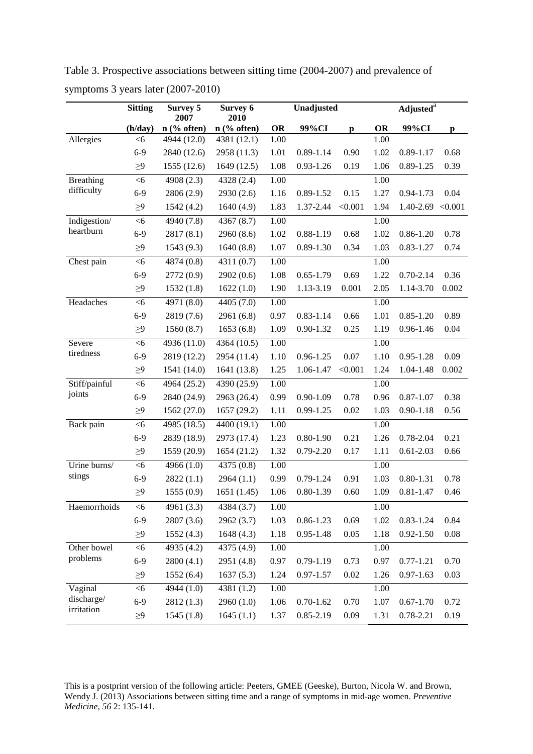|                  | <b>Sitting</b> | <b>Survey 5</b><br>2007 | Survey 6<br>2010 |                   | Unadjusted    |         |           | $\mathbf{A}\mathbf{d}\mathbf{j}\mathbf{u}\mathbf{st}\mathbf{e}\mathbf{d}^{\mathrm{a}}$ |              |
|------------------|----------------|-------------------------|------------------|-------------------|---------------|---------|-----------|----------------------------------------------------------------------------------------|--------------|
|                  | (h/day)        | $n$ (% often)           | $n$ (% often)    | OR                | 99%CI         | p       | <b>OR</b> | 99%CI                                                                                  | $\mathbf{p}$ |
| Allergies        | <6             | 4944 (12.0)             | 4381 (12.1)      | 1.00              |               |         | 1.00      |                                                                                        |              |
|                  | $6-9$          | 2840 (12.6)             | 2958 (11.3)      | 1.01              | $0.89 - 1.14$ | 0.90    | 1.02      | $0.89 - 1.17$                                                                          | 0.68         |
|                  | $\geq 9$       | 1555 (12.6)             | 1649 (12.5)      | 1.08              | $0.93 - 1.26$ | 0.19    | 1.06      | $0.89 - 1.25$                                                                          | 0.39         |
| <b>Breathing</b> | <6             | 4908 (2.3)              | 4328 (2.4)       | $\overline{1.00}$ |               |         | 1.00      |                                                                                        |              |
| difficulty       | $6-9$          | 2806 (2.9)              | 2930 (2.6)       | 1.16              | $0.89 - 1.52$ | 0.15    | 1.27      | 0.94-1.73                                                                              | 0.04         |
|                  | $\geq 9$       | 1542 (4.2)              | 1640 (4.9)       | 1.83              | 1.37-2.44     | < 0.001 | 1.94      | 1.40-2.69                                                                              | < 0.001      |
| Indigestion/     | <6             | 4940 (7.8)              | 4367 (8.7)       | 1.00              |               |         | 1.00      |                                                                                        |              |
| heartburn        | $6-9$          | 2817 (8.1)              | 2960 (8.6)       | 1.02              | $0.88 - 1.19$ | 0.68    | 1.02      | $0.86 - 1.20$                                                                          | 0.78         |
|                  | $\geq 9$       | 1543(9.3)               | 1640(8.8)        | 1.07              | $0.89 - 1.30$ | 0.34    | 1.03      | $0.83 - 1.27$                                                                          | 0.74         |
| Chest pain       | <6             | 4874 (0.8)              | 4311 (0.7)       | 1.00              |               |         | 1.00      |                                                                                        |              |
|                  | $6-9$          | 2772 (0.9)              | 2902 (0.6)       | 1.08              | $0.65 - 1.79$ | 0.69    | 1.22      | $0.70 - 2.14$                                                                          | 0.36         |
|                  | $\geq 9$       | 1532(1.8)               | 1622(1.0)        | 1.90              | 1.13-3.19     | 0.001   | 2.05      | 1.14-3.70                                                                              | 0.002        |
| Headaches        | <6             | 4971 (8.0)              | 4405 (7.0)       | 1.00              |               |         | 1.00      |                                                                                        |              |
|                  | $6-9$          | 2819(7.6)               | 2961 (6.8)       | 0.97              | $0.83 - 1.14$ | 0.66    | 1.01      | $0.85 - 1.20$                                                                          | 0.89         |
|                  | $\geq 9$       | 1560(8.7)               | 1653(6.8)        | 1.09              | $0.90 - 1.32$ | 0.25    | 1.19      | $0.96 - 1.46$                                                                          | 0.04         |
| Severe           | <6             | 4936 (11.0)             | 4364 (10.5)      | 1.00              |               |         | 1.00      |                                                                                        |              |
| tiredness        | $6-9$          | 2819 (12.2)             | 2954 (11.4)      | 1.10              | $0.96 - 1.25$ | 0.07    | 1.10      | $0.95 - 1.28$                                                                          | 0.09         |
|                  | $\geq 9$       | 1541 (14.0)             | 1641 (13.8)      | 1.25              | 1.06-1.47     | < 0.001 | 1.24      | 1.04-1.48                                                                              | 0.002        |
| Stiff/painful    | <6             | 4964 (25.2)             | 4390 (25.9)      | 1.00              |               |         | 1.00      |                                                                                        |              |
| joints           | $6-9$          | 2840 (24.9)             | 2963 (26.4)      | 0.99              | $0.90 - 1.09$ | 0.78    | 0.96      | $0.87 - 1.07$                                                                          | 0.38         |
|                  | $\geq 9$       | 1562 (27.0)             | 1657(29.2)       | 1.11              | $0.99 - 1.25$ | 0.02    | 1.03      | $0.90 - 1.18$                                                                          | 0.56         |
| Back pain        | <6             | 4985 (18.5)             | 4400 (19.1)      | 1.00              |               |         | 1.00      |                                                                                        |              |
|                  | $6-9$          | 2839 (18.9)             | 2973 (17.4)      | 1.23              | $0.80 - 1.90$ | 0.21    | 1.26      | $0.78 - 2.04$                                                                          | 0.21         |
|                  | $\geq 9$       | 1559 (20.9)             | 1654 (21.2)      | 1.32              | $0.79 - 2.20$ | 0.17    | 1.11      | $0.61 - 2.03$                                                                          | 0.66         |
| Urine burns/     | <6             | 4966(1.0)               | 4375 (0.8)       | 1.00              |               |         | 1.00      |                                                                                        |              |
| stings           | $6-9$          | 2822(1.1)               | 2964(1.1)        | 0.99              | $0.79 - 1.24$ | 0.91    | 1.03      | $0.80 - 1.31$                                                                          | 0.78         |
|                  | $\geq$ 9       | 1555(0.9)               | 1651(1.45)       | 1.06              | $0.80 - 1.39$ | 0.60    | 1.09      | $0.81 - 1.47$                                                                          | 0.46         |
| Haemorrhoids     | $<$ 6          | 4961 (3.3)              | 4384 (3.7)       | 1.00              |               |         | 1.00      |                                                                                        |              |
|                  | $6-9$          | 2807(3.6)               | 2962 (3.7)       | 1.03              | 0.86-1.23     | 0.69    | 1.02      | $0.83 - 1.24$                                                                          | 0.84         |
|                  | $\geq 9$       | 1552(4.3)               | 1648(4.3)        | 1.18              | $0.95 - 1.48$ | 0.05    | 1.18      | $0.92 - 1.50$                                                                          | 0.08         |
| Other bowel      | <6             | 4935 (4.2)              | 4375(4.9)        | 1.00              |               |         | 1.00      |                                                                                        |              |
| problems         | $6-9$          | 2800(4.1)               | 2951 (4.8)       | 0.97              | $0.79 - 1.19$ | 0.73    | 0.97      | $0.77 - 1.21$                                                                          | 0.70         |
|                  | $\geq 9$       | 1552(6.4)               | 1637(5.3)        | 1.24              | $0.97 - 1.57$ | 0.02    | 1.26      | $0.97 - 1.63$                                                                          | 0.03         |
| Vaginal          | $<$ 6          | 4944 (1.0)              | 4381 (1.2)       | 1.00              |               |         | 1.00      |                                                                                        |              |
| discharge/       | $6 - 9$        | 2812(1.3)               | 2960(1.0)        | 1.06              | $0.70 - 1.62$ | 0.70    | 1.07      | $0.67 - 1.70$                                                                          | 0.72         |
| irritation       | $\geq$ 9       | 1545(1.8)               | 1645(1.1)        | 1.37              | $0.85 - 2.19$ | 0.09    | 1.31      | 0.78-2.21                                                                              | 0.19         |

Table 3. Prospective associations between sitting time (2004-2007) and prevalence of symptoms 3 years later (2007-2010)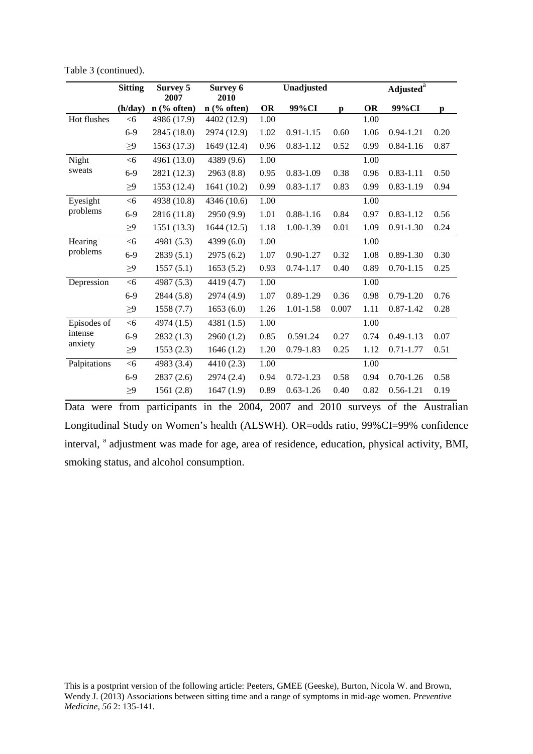|              | <b>Sitting</b> | <b>Survey 5</b><br>2007 | Survey 6<br>2010 |           | Unadjusted    |              |           | $\mathbf{A}\mathbf{d}\mathbf{j}$ usted $\mathbf{d}^{\mathrm{a}}$ |      |
|--------------|----------------|-------------------------|------------------|-----------|---------------|--------------|-----------|------------------------------------------------------------------|------|
|              | (h/day)        | $n$ (% often)           | $n$ (% often)    | <b>OR</b> | 99%CI         | $\mathbf{p}$ | <b>OR</b> | 99%CI                                                            | p    |
| Hot flushes  | $<$ 6          | 4986 (17.9)             | 4402 (12.9)      | 1.00      |               |              | 1.00      |                                                                  |      |
|              | $6-9$          | 2845 (18.0)             | 2974 (12.9)      | 1.02      | $0.91 - 1.15$ | 0.60         | 1.06      | 0.94-1.21                                                        | 0.20 |
|              | $\geq 9$       | 1563 (17.3)             | 1649 (12.4)      | 0.96      | $0.83 - 1.12$ | 0.52         | 0.99      | $0.84 - 1.16$                                                    | 0.87 |
| Night        | <6             | 4961 (13.0)             | 4389 (9.6)       | 1.00      |               |              | 1.00      |                                                                  |      |
| sweats       | $6-9$          | 2821 (12.3)             | 2963 (8.8)       | 0.95      | $0.83 - 1.09$ | 0.38         | 0.96      | $0.83 - 1.11$                                                    | 0.50 |
|              | $\geq$ 9       | 1553 (12.4)             | 1641 (10.2)      | 0.99      | $0.83 - 1.17$ | 0.83         | 0.99      | $0.83 - 1.19$                                                    | 0.94 |
| Eyesight     | $<$ 6          | 4938 (10.8)             | 4346 (10.6)      | 1.00      |               |              | 1.00      |                                                                  |      |
| problems     | $6-9$          | 2816 (11.8)             | 2950 (9.9)       | 1.01      | $0.88 - 1.16$ | 0.84         | 0.97      | $0.83 - 1.12$                                                    | 0.56 |
|              | $\geq 9$       | 1551 (13.3)             | 1644 (12.5)      | 1.18      | 1.00-1.39     | 0.01         | 1.09      | $0.91 - 1.30$                                                    | 0.24 |
| Hearing      | <6             | 4981 (5.3)              | 4399 (6.0)       | 1.00      |               |              | 1.00      |                                                                  |      |
| problems     | $6-9$          | 2839 (5.1)              | 2975(6.2)        | 1.07      | $0.90 - 1.27$ | 0.32         | 1.08      | $0.89 - 1.30$                                                    | 0.30 |
|              | $\geq 9$       | 1557(5.1)               | 1653(5.2)        | 0.93      | $0.74 - 1.17$ | 0.40         | 0.89      | $0.70 - 1.15$                                                    | 0.25 |
| Depression   | $<$ 6          | 4987 (5.3)              | 4419 (4.7)       | 1.00      |               |              | 1.00      |                                                                  |      |
|              | $6-9$          | 2844 (5.8)              | 2974 (4.9)       | 1.07      | $0.89 - 1.29$ | 0.36         | 0.98      | $0.79 - 1.20$                                                    | 0.76 |
|              | $\geq 9$       | 1558 (7.7)              | 1653(6.0)        | 1.26      | 1.01-1.58     | 0.007        | 1.11      | $0.87 - 1.42$                                                    | 0.28 |
| Episodes of  | <6             | 4974 (1.5)              | 4381 (1.5)       | 1.00      |               |              | 1.00      |                                                                  |      |
| intense      | $6-9$          | 2832(1.3)               | 2960 (1.2)       | 0.85      | 0.591.24      | 0.27         | 0.74      | $0.49 - 1.13$                                                    | 0.07 |
| anxiety      | $\geq 9$       | 1553(2.3)               | 1646(1.2)        | 1.20      | $0.79 - 1.83$ | 0.25         | 1.12      | $0.71 - 1.77$                                                    | 0.51 |
| Palpitations | <6             | 4983 (3.4)              | 4410 (2.3)       | 1.00      |               |              | 1.00      |                                                                  |      |
|              | $6-9$          | 2837(2.6)               | 2974 (2.4)       | 0.94      | $0.72 - 1.23$ | 0.58         | 0.94      | $0.70 - 1.26$                                                    | 0.58 |
|              | $\geq$ 9       | 1561 (2.8)              | 1647(1.9)        | 0.89      | $0.63 - 1.26$ | 0.40         | 0.82      | $0.56 - 1.21$                                                    | 0.19 |

Table 3 (continued).

Data were from participants in the 2004, 2007 and 2010 surveys of the Australian Longitudinal Study on Women's health (ALSWH). OR=odds ratio, 99%CI=99% confidence interval, <sup>a</sup> adjustment was made for age, area of residence, education, physical activity, BMI, smoking status, and alcohol consumption.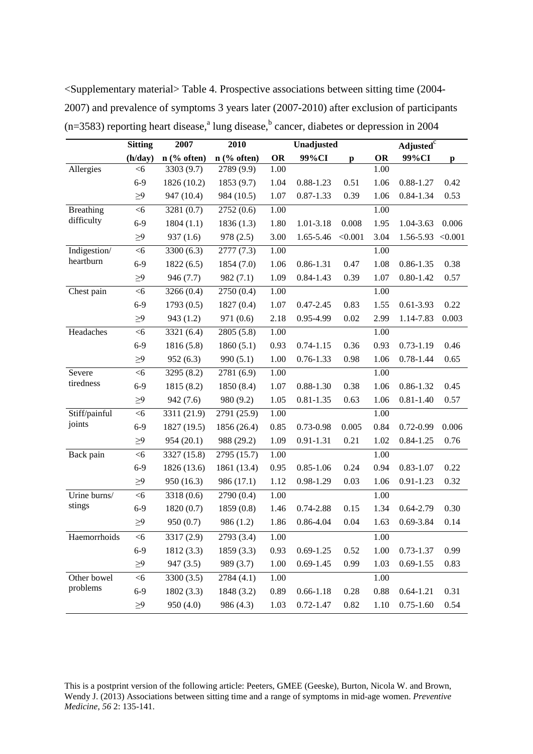|                  | <b>Sitting</b> | 2007          | 2010          |           | Unadjusted    |         |           | Adjusted <sup>c</sup> |       |
|------------------|----------------|---------------|---------------|-----------|---------------|---------|-----------|-----------------------|-------|
|                  | (h/day)        | $n$ (% often) | $n$ (% often) | <b>OR</b> | 99%CI         | p       | <b>OR</b> | 99%CI                 | p     |
| Allergies        | <6             | 3303 (9.7)    | 2789 (9.9)    | 1.00      |               |         | 1.00      |                       |       |
|                  | $6-9$          | 1826 (10.2)   | 1853(9.7)     | 1.04      | $0.88 - 1.23$ | 0.51    | 1.06      | 0.88-1.27             | 0.42  |
|                  | $\geq$ 9       | 947 (10.4)    | 984 (10.5)    | 1.07      | $0.87 - 1.33$ | 0.39    | 1.06      | $0.84 - 1.34$         | 0.53  |
| <b>Breathing</b> | <6             | 3281 (0.7)    | 2752(0.6)     | 1.00      |               |         | 1.00      |                       |       |
| difficulty       | $6-9$          | 1804(1.1)     | 1836(1.3)     | 1.80      | 1.01-3.18     | 0.008   | 1.95      | 1.04-3.63             | 0.006 |
|                  | $\geq 9$       | 937(1.6)      | 978(2.5)      | 3.00      | 1.65-5.46     | < 0.001 | 3.04      | $1.56 - 5.93 < 0.001$ |       |
| Indigestion/     | <6             | 3300 (6.3)    | 2777(7.3)     | 1.00      |               |         | 1.00      |                       |       |
| heartburn        | $6 - 9$        | 1822(6.5)     | 1854(7.0)     | 1.06      | $0.86 - 1.31$ | 0.47    | 1.08      | $0.86 - 1.35$         | 0.38  |
|                  | $\geq$ 9       | 946 (7.7)     | 982(7.1)      | 1.09      | $0.84 - 1.43$ | 0.39    | 1.07      | $0.80 - 1.42$         | 0.57  |
| Chest pain       | <6             | 3266(0.4)     | 2750(0.4)     | 1.00      |               |         | 1.00      |                       |       |
|                  | $6 - 9$        | 1793(0.5)     | 1827(0.4)     | 1.07      | $0.47 - 2.45$ | 0.83    | 1.55      | $0.61 - 3.93$         | 0.22  |
|                  | $\geq 9$       | 943(1.2)      | 971 (0.6)     | 2.18      | 0.95-4.99     | 0.02    | 2.99      | 1.14-7.83             | 0.003 |
| Headaches        | <6             | 3321 (6.4)    | 2805 (5.8)    | 1.00      |               |         | 1.00      |                       |       |
|                  | $6 - 9$        | 1816 (5.8)    | 1860(5.1)     | 0.93      | $0.74 - 1.15$ | 0.36    | 0.93      | $0.73 - 1.19$         | 0.46  |
|                  | $\geq$ 9       | 952(6.3)      | 990(5.1)      | 1.00      | $0.76 - 1.33$ | 0.98    | 1.06      | $0.78 - 1.44$         | 0.65  |
| Severe           | <6             | 3295 (8.2)    | 2781 (6.9)    | 1.00      |               |         | 1.00      |                       |       |
| tiredness        | $6-9$          | 1815 (8.2)    | 1850 (8.4)    | 1.07      | $0.88 - 1.30$ | 0.38    | 1.06      | $0.86 - 1.32$         | 0.45  |
|                  | $\geq$ 9       | 942(7.6)      | 980 (9.2)     | 1.05      | $0.81 - 1.35$ | 0.63    | 1.06      | $0.81 - 1.40$         | 0.57  |
| Stiff/painful    | <6             | 3311 (21.9)   | 2791 (25.9)   | 1.00      |               |         | 1.00      |                       |       |
| joints           | $6-9$          | 1827 (19.5)   | 1856 (26.4)   | 0.85      | 0.73-0.98     | 0.005   | 0.84      | $0.72 - 0.99$         | 0.006 |
|                  | $\geq$ 9       | 954(20.1)     | 988 (29.2)    | 1.09      | $0.91 - 1.31$ | 0.21    | 1.02      | $0.84 - 1.25$         | 0.76  |
| Back pain        | $<$ 6          | 3327 (15.8)   | 2795 (15.7)   | 1.00      |               |         | 1.00      |                       |       |
|                  | $6-9$          | 1826 (13.6)   | 1861 (13.4)   | 0.95      | $0.85 - 1.06$ | 0.24    | 0.94      | $0.83 - 1.07$         | 0.22  |
|                  | $\geq$ 9       | 950 (16.3)    | 986 (17.1)    | 1.12      | 0.98-1.29     | 0.03    | 1.06      | $0.91 - 1.23$         | 0.32  |
| Urine burns/     | <6             | 3318 (0.6)    | 2790 (0.4)    | 1.00      |               |         | 1.00      |                       |       |
| stings           | $6-9$          | 1820(0.7)     | 1859(0.8)     | 1.46      | $0.74 - 2.88$ | 0.15    | 1.34      | $0.64 - 2.79$         | 0.30  |
|                  | $\geq 9$       | 950 (0.7)     | 986(1.2)      | 1.86      | 0.86-4.04     | 0.04    | 1.63      | 0.69-3.84             | 0.14  |
| Haemorrhoids     | <6             | 3317 (2.9)    | 2793 (3.4)    | 1.00      |               |         | 1.00      |                       |       |
|                  | $6-9$          | 1812 (3.3)    | 1859 (3.3)    | 0.93      | $0.69 - 1.25$ | 0.52    | 1.00      | $0.73 - 1.37$         | 0.99  |
|                  | $\geq$ 9       | 947(3.5)      | 989 (3.7)     | 1.00      | $0.69 - 1.45$ | 0.99    | 1.03      | $0.69 - 1.55$         | 0.83  |
| Other bowel      | <6             | 3300 (3.5)    | 2784 (4.1)    | 1.00      |               |         | 1.00      |                       |       |
| problems         | $6-9$          | 1802 (3.3)    | 1848 (3.2)    | 0.89      | $0.66 - 1.18$ | 0.28    | 0.88      | $0.64 - 1.21$         | 0.31  |
|                  | $\geq$ 9       | 950 (4.0)     | 986 (4.3)     | 1.03      | $0.72 - 1.47$ | 0.82    | 1.10      | $0.75 - 1.60$         | 0.54  |

<Supplementary material> Table 4. Prospective associations between sitting time (2004- 2007) and prevalence of symptoms 3 years later (2007-2010) after exclusion of participants  $(n=3583)$  reporting heart disease,<sup>a</sup> lung disease,<sup>b</sup> cancer, diabetes or depression in 2004